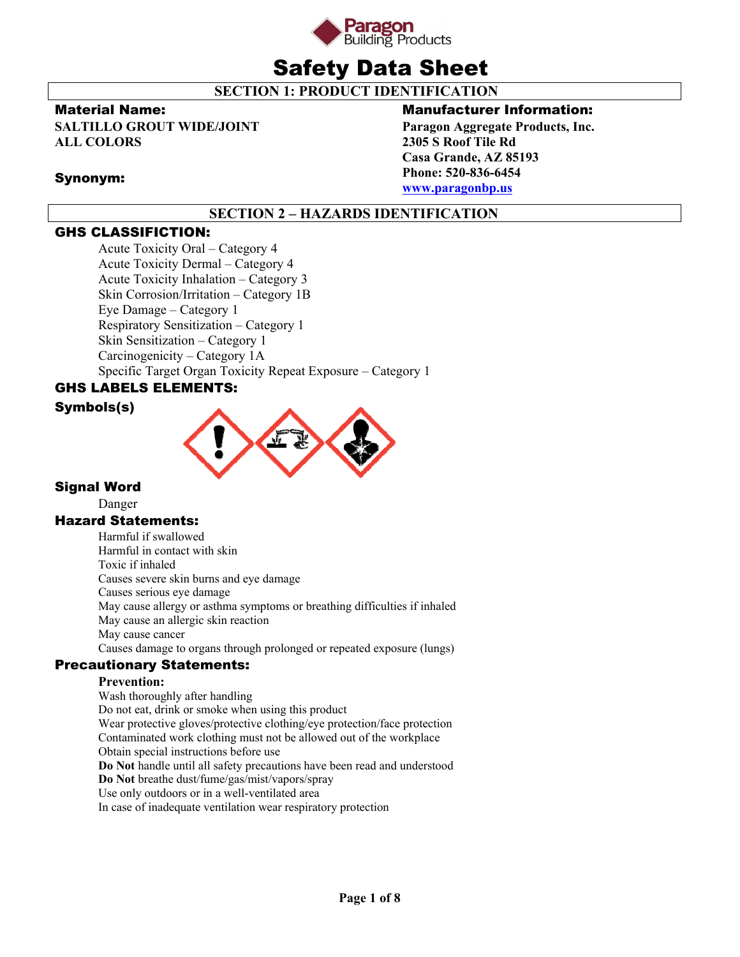

# Safety Data Sheet

**SECTION 1: PRODUCT IDENTIFICATION** 

### Material Name:

Synonym:

**SALTILLO GROUT WIDE/JOINT ALL COLORS** 

# Manufacturer Information:

**Paragon Aggregate Products, Inc. 2305 S Roof Tile Rd Casa Grande, AZ 85193 Phone: 520-836-6454 www.paragonbp.us**

# **SECTION 2 – HAZARDS IDENTIFICATION**

### GHS CLASSIFICTION:

Acute Toxicity Oral – Category 4 Acute Toxicity Dermal – Category 4 Acute Toxicity Inhalation – Category 3 Skin Corrosion/Irritation – Category 1B Eye Damage – Category 1 Respiratory Sensitization – Category 1 Skin Sensitization – Category 1 Carcinogenicity – Category 1A Specific Target Organ Toxicity Repeat Exposure – Category 1

# GHS LABELS ELEMENTS:





### Signal Word

Danger

### Hazard Statements:

Harmful if swallowed Harmful in contact with skin Toxic if inhaled Causes severe skin burns and eye damage Causes serious eye damage May cause allergy or asthma symptoms or breathing difficulties if inhaled May cause an allergic skin reaction May cause cancer Causes damage to organs through prolonged or repeated exposure (lungs)

# Precautionary Statements:

### **Prevention:**

Wash thoroughly after handling Do not eat, drink or smoke when using this product Wear protective gloves/protective clothing/eye protection/face protection Contaminated work clothing must not be allowed out of the workplace Obtain special instructions before use **Do Not** handle until all safety precautions have been read and understood **Do Not** breathe dust/fume/gas/mist/vapors/spray Use only outdoors or in a well-ventilated area In case of inadequate ventilation wear respiratory protection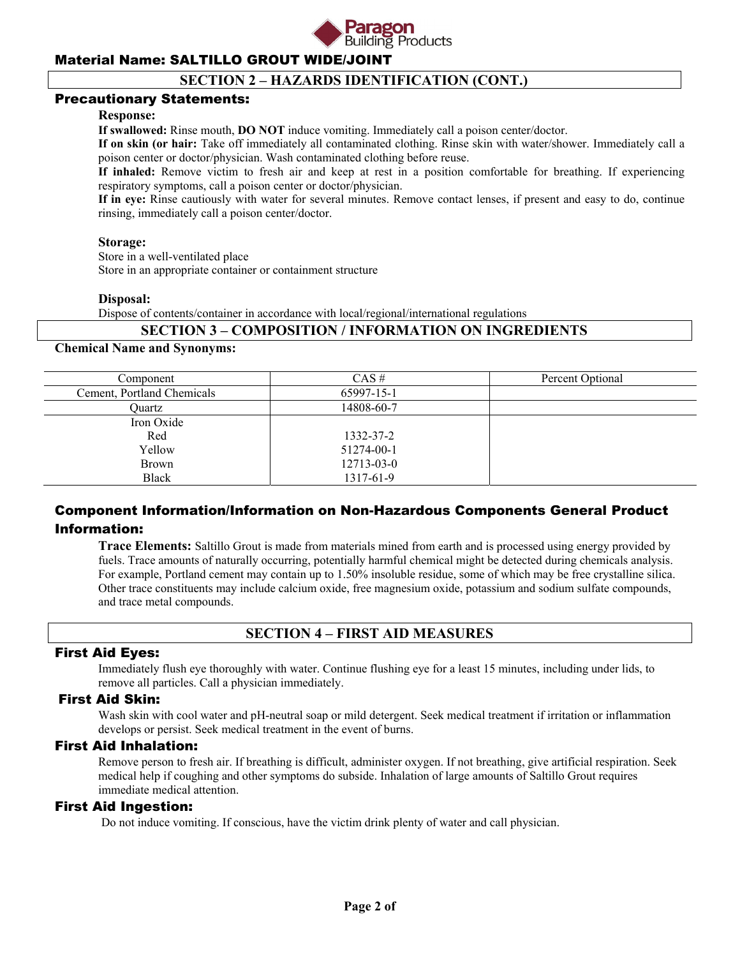

### **SECTION 2 – HAZARDS IDENTIFICATION (CONT.)**

### Precautionary Statements:

#### **Response:**

**If swallowed:** Rinse mouth, **DO NOT** induce vomiting. Immediately call a poison center/doctor.

**If on skin (or hair:** Take off immediately all contaminated clothing. Rinse skin with water/shower. Immediately call a poison center or doctor/physician. Wash contaminated clothing before reuse.

**If inhaled:** Remove victim to fresh air and keep at rest in a position comfortable for breathing. If experiencing respiratory symptoms, call a poison center or doctor/physician.

**If in eye:** Rinse cautiously with water for several minutes. Remove contact lenses, if present and easy to do, continue rinsing, immediately call a poison center/doctor.

#### **Storage:**

Store in a well-ventilated place

Store in an appropriate container or containment structure

#### **Disposal:**

Dispose of contents/container in accordance with local/regional/international regulations

### **SECTION 3 – COMPOSITION / INFORMATION ON INGREDIENTS**

### **Chemical Name and Synonyms:**

| Component                  | $CAS \#$   | Percent Optional |
|----------------------------|------------|------------------|
| Cement, Portland Chemicals | 65997-15-1 |                  |
| <b>Duartz</b>              | 14808-60-7 |                  |
| Iron Oxide                 |            |                  |
| Red                        | 1332-37-2  |                  |
| Yellow                     | 51274-00-1 |                  |
| Brown                      | 12713-03-0 |                  |
| <b>Black</b>               | 1317-61-9  |                  |

### Component Information/Information on Non-Hazardous Components General Product Information:

**Trace Elements:** Saltillo Grout is made from materials mined from earth and is processed using energy provided by fuels. Trace amounts of naturally occurring, potentially harmful chemical might be detected during chemicals analysis. For example, Portland cement may contain up to 1.50% insoluble residue, some of which may be free crystalline silica. Other trace constituents may include calcium oxide, free magnesium oxide, potassium and sodium sulfate compounds, and trace metal compounds.

### **SECTION 4 – FIRST AID MEASURES**

### First Aid Eyes:

Immediately flush eye thoroughly with water. Continue flushing eye for a least 15 minutes, including under lids, to remove all particles. Call a physician immediately.

### First Aid Skin:

Wash skin with cool water and pH-neutral soap or mild detergent. Seek medical treatment if irritation or inflammation develops or persist. Seek medical treatment in the event of burns.

### First Aid Inhalation:

Remove person to fresh air. If breathing is difficult, administer oxygen. If not breathing, give artificial respiration. Seek medical help if coughing and other symptoms do subside. Inhalation of large amounts of Saltillo Grout requires immediate medical attention.

### First Aid Ingestion:

Do not induce vomiting. If conscious, have the victim drink plenty of water and call physician.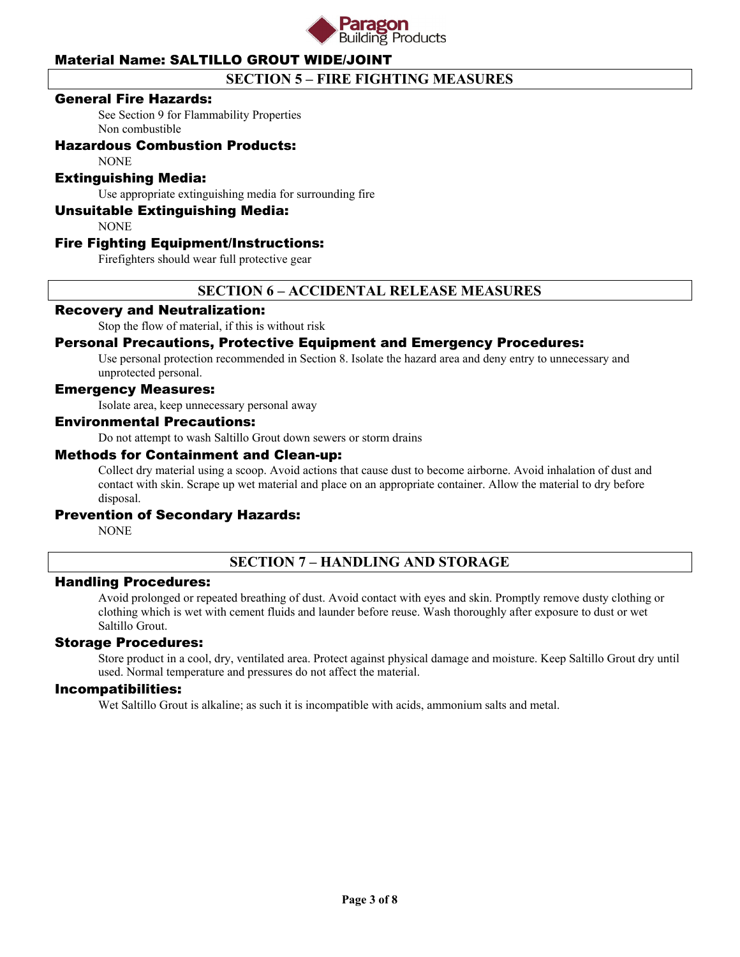

# **SECTION 5 – FIRE FIGHTING MEASURES**

### General Fire Hazards:

See Section 9 for Flammability Properties Non combustible

### Hazardous Combustion Products:

NONE

### Extinguishing Media:

Use appropriate extinguishing media for surrounding fire

### Unsuitable Extinguishing Media:

NONE

### Fire Fighting Equipment/Instructions:

Firefighters should wear full protective gear

### **SECTION 6 – ACCIDENTAL RELEASE MEASURES**

### Recovery and Neutralization:

Stop the flow of material, if this is without risk

### Personal Precautions, Protective Equipment and Emergency Procedures:

Use personal protection recommended in Section 8. Isolate the hazard area and deny entry to unnecessary and unprotected personal.

### Emergency Measures:

Isolate area, keep unnecessary personal away

#### Environmental Precautions:

Do not attempt to wash Saltillo Grout down sewers or storm drains

#### Methods for Containment and Clean-up:

Collect dry material using a scoop. Avoid actions that cause dust to become airborne. Avoid inhalation of dust and contact with skin. Scrape up wet material and place on an appropriate container. Allow the material to dry before disposal.

### Prevention of Secondary Hazards:

**NONE** 

# **SECTION 7 – HANDLING AND STORAGE**

### Handling Procedures:

Avoid prolonged or repeated breathing of dust. Avoid contact with eyes and skin. Promptly remove dusty clothing or clothing which is wet with cement fluids and launder before reuse. Wash thoroughly after exposure to dust or wet Saltillo Grout.

### Storage Procedures:

Store product in a cool, dry, ventilated area. Protect against physical damage and moisture. Keep Saltillo Grout dry until used. Normal temperature and pressures do not affect the material.

#### Incompatibilities:

Wet Saltillo Grout is alkaline; as such it is incompatible with acids, ammonium salts and metal.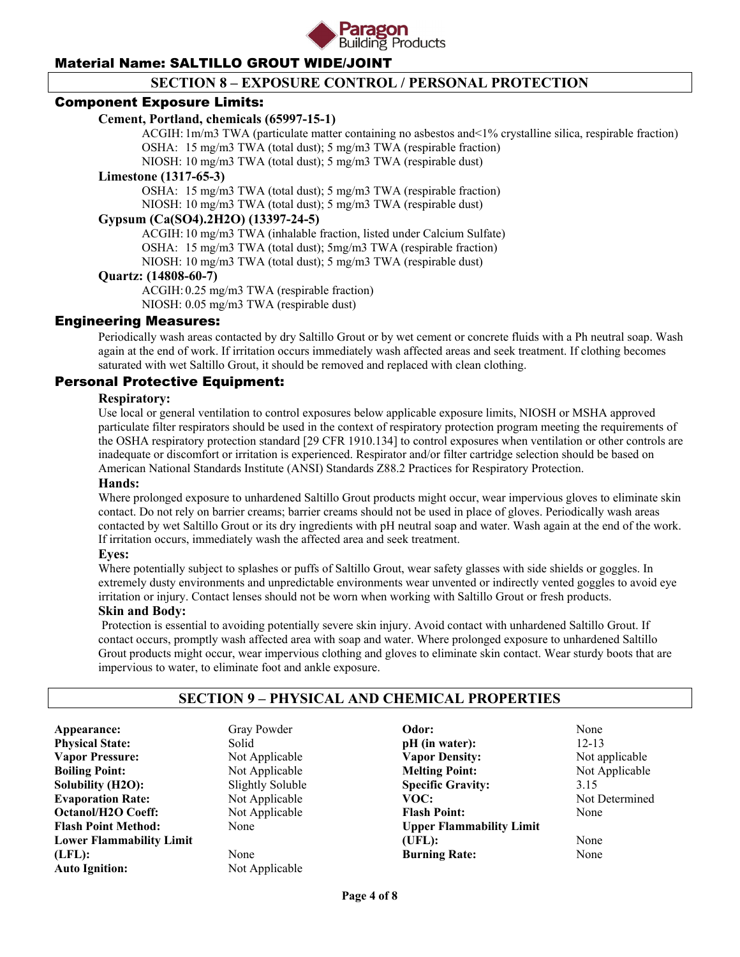

## **SECTION 8 – EXPOSURE CONTROL / PERSONAL PROTECTION**

### Component Exposure Limits:

### **Cement, Portland, chemicals (65997-15-1)**

 ACGIH: 1m/m3 TWA (particulate matter containing no asbestos and<1% crystalline silica, respirable fraction) OSHA: 15 mg/m3 TWA (total dust); 5 mg/m3 TWA (respirable fraction)

NIOSH: 10 mg/m3 TWA (total dust); 5 mg/m3 TWA (respirable dust)

#### **Limestone (1317-65-3)**

 OSHA: 15 mg/m3 TWA (total dust); 5 mg/m3 TWA (respirable fraction) NIOSH: 10 mg/m3 TWA (total dust); 5 mg/m3 TWA (respirable dust)

### **Gypsum (Ca(SO4).2H2O) (13397-24-5)**

ACGIH: 10 mg/m3 TWA (inhalable fraction, listed under Calcium Sulfate)

OSHA: 15 mg/m3 TWA (total dust); 5mg/m3 TWA (respirable fraction)

NIOSH: 10 mg/m3 TWA (total dust); 5 mg/m3 TWA (respirable dust)

### **Quartz: (14808-60-7)**

 ACGIH: 0.25 mg/m3 TWA (respirable fraction) NIOSH: 0.05 mg/m3 TWA (respirable dust)

### Engineering Measures:

Periodically wash areas contacted by dry Saltillo Grout or by wet cement or concrete fluids with a Ph neutral soap. Wash again at the end of work. If irritation occurs immediately wash affected areas and seek treatment. If clothing becomes saturated with wet Saltillo Grout, it should be removed and replaced with clean clothing.

### Personal Protective Equipment:

### **Respiratory:**

Use local or general ventilation to control exposures below applicable exposure limits, NIOSH or MSHA approved particulate filter respirators should be used in the context of respiratory protection program meeting the requirements of the OSHA respiratory protection standard [29 CFR 1910.134] to control exposures when ventilation or other controls are inadequate or discomfort or irritation is experienced. Respirator and/or filter cartridge selection should be based on American National Standards Institute (ANSI) Standards Z88.2 Practices for Respiratory Protection.

#### **Hands:**

Where prolonged exposure to unhardened Saltillo Grout products might occur, wear impervious gloves to eliminate skin contact. Do not rely on barrier creams; barrier creams should not be used in place of gloves. Periodically wash areas contacted by wet Saltillo Grout or its dry ingredients with pH neutral soap and water. Wash again at the end of the work. If irritation occurs, immediately wash the affected area and seek treatment.

#### **Eyes:**

Where potentially subject to splashes or puffs of Saltillo Grout, wear safety glasses with side shields or goggles. In extremely dusty environments and unpredictable environments wear unvented or indirectly vented goggles to avoid eye irritation or injury. Contact lenses should not be worn when working with Saltillo Grout or fresh products.

#### **Skin and Body:**

Protection is essential to avoiding potentially severe skin injury. Avoid contact with unhardened Saltillo Grout. If contact occurs, promptly wash affected area with soap and water. Where prolonged exposure to unhardened Saltillo Grout products might occur, wear impervious clothing and gloves to eliminate skin contact. Wear sturdy boots that are impervious to water, to eliminate foot and ankle exposure.

### **SECTION 9 – PHYSICAL AND CHEMICAL PROPERTIES**

Appearance: Gray Powder **Physical State:** Solid **Vapor Pressure:** Not Applicable **Boiling Point:** Not Applicable **Solubility (H2O):** Slightly Soluble **Evaporation Rate:** Not Applicable **Octanol/H2O Coeff:** Not Applicable **Flash Point Method:** None **Lower Flammability Limit (LFL):** None **Auto Ignition:** Not Applicable

**Odor:** None **pH** (in water): 12-13 **Vapor Density:** Not applicable **Melting Point:** Not Applicable **Specific Gravity:** 3.15<br> **VOC:** Not 1 **Flash Point:** None **Upper Flammability Limit (UFL):** None **Burning Rate:** None

**Not Determined**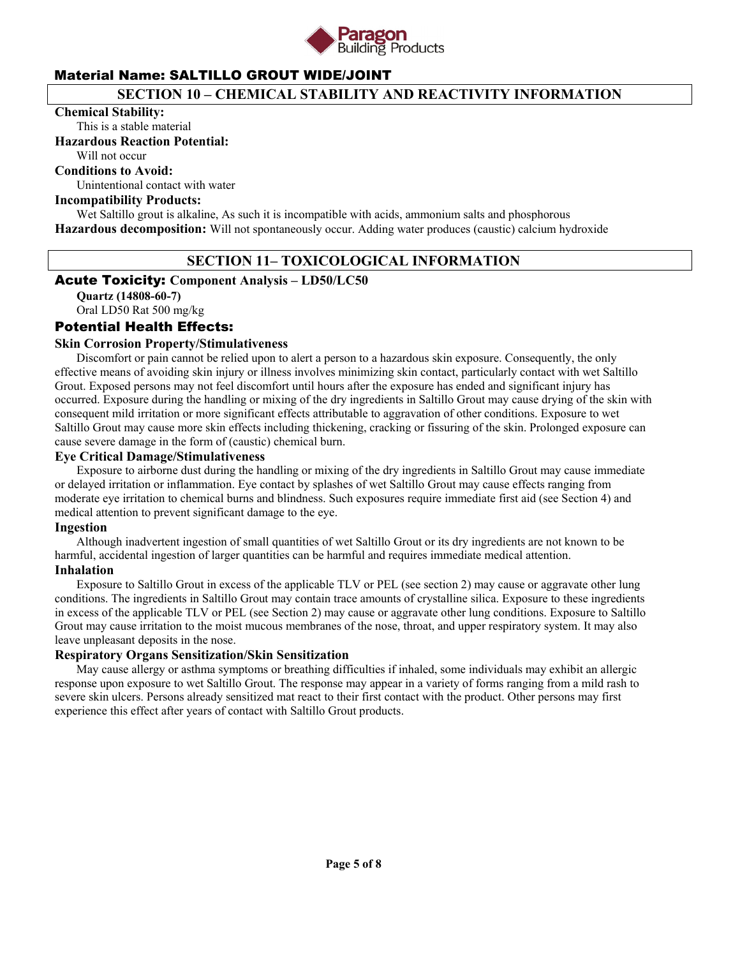

### **SECTION 10 – CHEMICAL STABILITY AND REACTIVITY INFORMATION**

#### **Chemical Stability:**

This is a stable material

### **Hazardous Reaction Potential:**

Will not occur

### **Conditions to Avoid:**

Unintentional contact with water

### **Incompatibility Products:**

Wet Saltillo grout is alkaline, As such it is incompatible with acids, ammonium salts and phosphorous **Hazardous decomposition:** Will not spontaneously occur. Adding water produces (caustic) calcium hydroxide

### **SECTION 11– TOXICOLOGICAL INFORMATION**

### Acute Toxicity: **Component Analysis – LD50/LC50**

**Quartz (14808-60-7)** 

# Oral LD50 Rat 500 mg/kg

### Potential Health Effects:

### **Skin Corrosion Property/Stimulativeness**

 Discomfort or pain cannot be relied upon to alert a person to a hazardous skin exposure. Consequently, the only effective means of avoiding skin injury or illness involves minimizing skin contact, particularly contact with wet Saltillo Grout. Exposed persons may not feel discomfort until hours after the exposure has ended and significant injury has occurred. Exposure during the handling or mixing of the dry ingredients in Saltillo Grout may cause drying of the skin with consequent mild irritation or more significant effects attributable to aggravation of other conditions. Exposure to wet Saltillo Grout may cause more skin effects including thickening, cracking or fissuring of the skin. Prolonged exposure can cause severe damage in the form of (caustic) chemical burn.

### **Eye Critical Damage/Stimulativeness**

 Exposure to airborne dust during the handling or mixing of the dry ingredients in Saltillo Grout may cause immediate or delayed irritation or inflammation. Eye contact by splashes of wet Saltillo Grout may cause effects ranging from moderate eye irritation to chemical burns and blindness. Such exposures require immediate first aid (see Section 4) and medical attention to prevent significant damage to the eye.

### **Ingestion**

 Although inadvertent ingestion of small quantities of wet Saltillo Grout or its dry ingredients are not known to be harmful, accidental ingestion of larger quantities can be harmful and requires immediate medical attention. **Inhalation** 

 Exposure to Saltillo Grout in excess of the applicable TLV or PEL (see section 2) may cause or aggravate other lung conditions. The ingredients in Saltillo Grout may contain trace amounts of crystalline silica. Exposure to these ingredients in excess of the applicable TLV or PEL (see Section 2) may cause or aggravate other lung conditions. Exposure to Saltillo Grout may cause irritation to the moist mucous membranes of the nose, throat, and upper respiratory system. It may also leave unpleasant deposits in the nose.

### **Respiratory Organs Sensitization/Skin Sensitization**

 May cause allergy or asthma symptoms or breathing difficulties if inhaled, some individuals may exhibit an allergic response upon exposure to wet Saltillo Grout. The response may appear in a variety of forms ranging from a mild rash to severe skin ulcers. Persons already sensitized mat react to their first contact with the product. Other persons may first experience this effect after years of contact with Saltillo Grout products.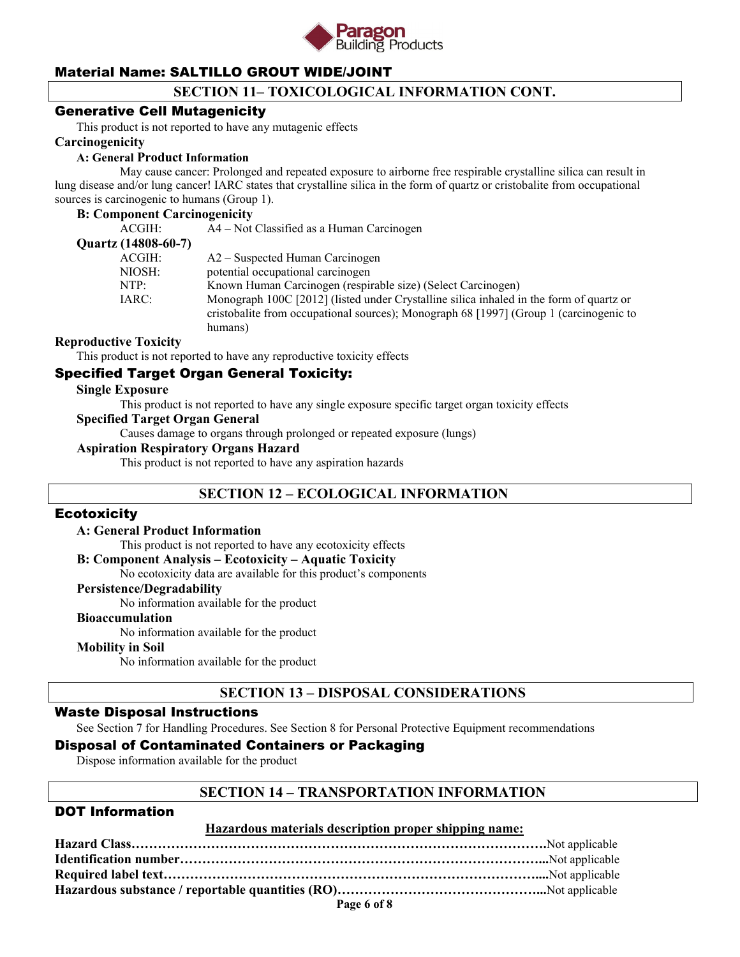

## **SECTION 11– TOXICOLOGICAL INFORMATION CONT.**

### Generative Cell Mutagenicity

This product is not reported to have any mutagenic effects

### **Carcinogenicity**

#### **A: General Product Information**

May cause cancer: Prolonged and repeated exposure to airborne free respirable crystalline silica can result in lung disease and/or lung cancer! IARC states that crystalline silica in the form of quartz or cristobalite from occupational sources is carcinogenic to humans (Group 1).

#### **B: Component Carcinogenicity**

| ACGIH:              | A4 – Not Classified as a Human Carcinogen                                                                                                                                                    |
|---------------------|----------------------------------------------------------------------------------------------------------------------------------------------------------------------------------------------|
| Quartz (14808-60-7) |                                                                                                                                                                                              |
| ACGIH:              | A2 – Suspected Human Carcinogen                                                                                                                                                              |
| NIOSH:              | potential occupational carcinogen                                                                                                                                                            |
| NTP:                | Known Human Carcinogen (respirable size) (Select Carcinogen)                                                                                                                                 |
| IARC:               | Monograph 100C [2012] (listed under Crystalline silica inhaled in the form of quartz or<br>cristobalite from occupational sources); Monograph 68 [1997] (Group 1 (carcinogenic to<br>humans) |

### **Reproductive Toxicity**

This product is not reported to have any reproductive toxicity effects

### Specified Target Organ General Toxicity:

#### **Single Exposure**

This product is not reported to have any single exposure specific target organ toxicity effects

### **Specified Target Organ General**

Causes damage to organs through prolonged or repeated exposure (lungs)

### **Aspiration Respiratory Organs Hazard**

This product is not reported to have any aspiration hazards

### **SECTION 12 – ECOLOGICAL INFORMATION**

### **Ecotoxicity**

#### **A: General Product Information**

This product is not reported to have any ecotoxicity effects

### **B: Component Analysis – Ecotoxicity – Aquatic Toxicity**

No ecotoxicity data are available for this product's components

#### **Persistence/Degradability**

No information available for the product

#### **Bioaccumulation**

No information available for the product

#### **Mobility in Soil**

No information available for the product

### **SECTION 13 – DISPOSAL CONSIDERATIONS**

### Waste Disposal Instructions

See Section 7 for Handling Procedures. See Section 8 for Personal Protective Equipment recommendations

### Disposal of Contaminated Containers or Packaging

Dispose information available for the product

### **SECTION 14 – TRANSPORTATION INFORMATION**

### DOT Information

#### **Hazardous materials description proper shipping name:**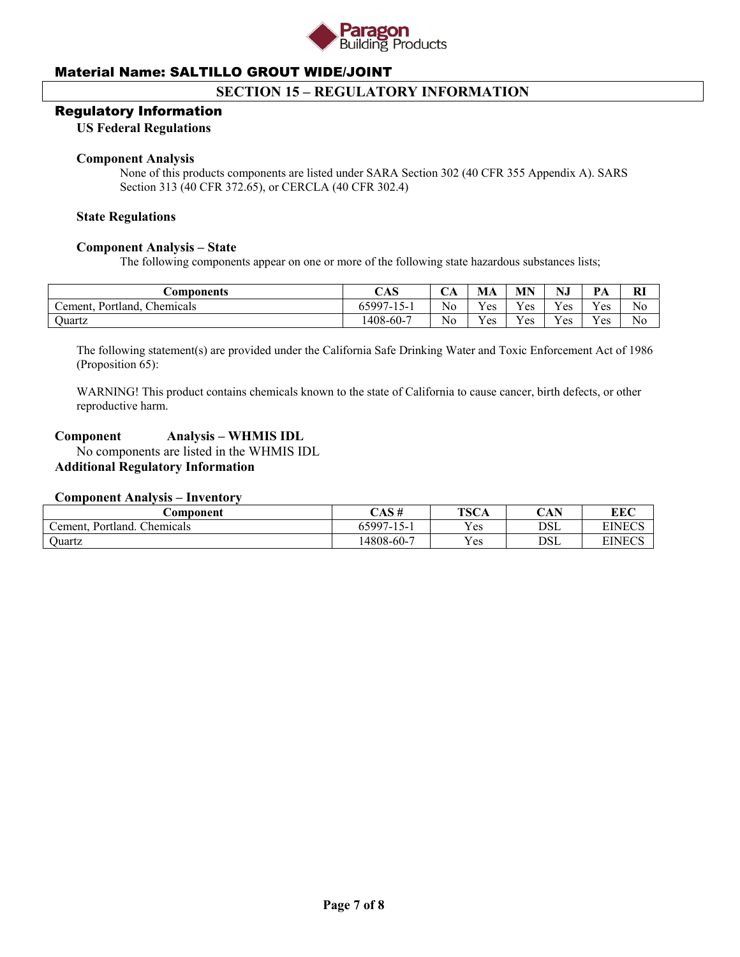

### **SECTION 15 – REGULATORY INFORMATION**

### Regulatory Information

### **US Federal Regulations**

#### **Component Analysis**

None of this products components are listed under SARA Section 302 (40 CFR 355 Appendix A). SARS Section 313 (40 CFR 372.65), or CERCLA (40 CFR 302.4)

#### **State Regulations**

#### **Component Analysis – State**

The following components appear on one or more of the following state hazardous substances lists;

| <b>Components</b>                 | CAS                 | UΑ             | МA  | <b>MN</b>    | NJ       | $\mathbf{p}_{\Delta}$<br>. | <b>RI</b> |
|-----------------------------------|---------------------|----------------|-----|--------------|----------|----------------------------|-----------|
| Chemicals<br>Portland,<br>Cement. | $65997 -$<br>$15 -$ | No             | Yes | $V_{\rm CS}$ | Yes      | Yes                        | No        |
| ')uartz                           | 1408-60-7           | N <sub>0</sub> | Yes | $v_{es}$     | $V_{ES}$ | Yes                        | No        |

The following statement(s) are provided under the California Safe Drinking Water and Toxic Enforcement Act of 1986 (Proposition 65):

WARNING! This product contains chemicals known to the state of California to cause cancer, birth defects, or other reproductive harm.

### **Component Analysis – WHMIS IDL**

 No components are listed in the WHMIS IDL **Additional Regulatory Information** 

#### **Component Analysis – Inventory**

| .\omponent                       | CAS#       | <b>TSCA</b> | $\mathbf C$ and $\mathbf N$<br>UAF | <b>EEC</b>    |
|----------------------------------|------------|-------------|------------------------------------|---------------|
| Chemicals<br>Portland.<br>ement. | 65997-15-1 | Yes         | DSL                                | <b>EINECS</b> |
| Juartz                           | 14808-60-7 | Yes         | DSL                                | <b>EINECS</b> |